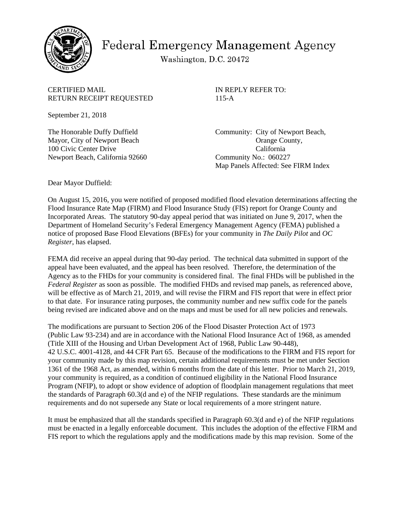

## **Federal Emergency Management Agency**

Washington, D.C. 20472

CERTIFIED MAIL IN REPLY REFER TO: RETURN RECEIPT REQUESTED 115-A

September 21, 2018

Mayor, City of Newport Beach Orange County, 100 Civic Center Drive California Newport Beach, California 92660 Community No.: 060227

The Honorable Duffy Duffield Community: City of Newport Beach, Map Panels Affected: See FIRM Index

Dear Mayor Duffield:

On August 15, 2016, you were notified of proposed modified flood elevation determinations affecting the Flood Insurance Rate Map (FIRM) and Flood Insurance Study (FIS) report for Orange County and Incorporated Areas. The statutory 90-day appeal period that was initiated on June 9, 2017, when the Department of Homeland Security's Federal Emergency Management Agency (FEMA) published a notice of proposed Base Flood Elevations (BFEs) for your community in *The Daily Pilot* and *OC Register*, has elapsed.

FEMA did receive an appeal during that 90-day period. The technical data submitted in support of the appeal have been evaluated, and the appeal has been resolved. Therefore, the determination of the Agency as to the FHDs for your community is considered final. The final FHDs will be published in the *Federal Register* as soon as possible. The modified FHDs and revised map panels, as referenced above, will be effective as of March 21, 2019, and will revise the FIRM and FIS report that were in effect prior to that date. For insurance rating purposes, the community number and new suffix code for the panels being revised are indicated above and on the maps and must be used for all new policies and renewals.

The modifications are pursuant to Section 206 of the Flood Disaster Protection Act of 1973 (Public Law 93-234) and are in accordance with the National Flood Insurance Act of 1968, as amended (Title XIII of the Housing and Urban Development Act of 1968, Public Law 90-448), 42 U.S.C. 4001-4128, and 44 CFR Part 65. Because of the modifications to the FIRM and FIS report for your community made by this map revision, certain additional requirements must be met under Section 1361 of the 1968 Act, as amended, within 6 months from the date of this letter. Prior to March 21, 2019, your community is required, as a condition of continued eligibility in the National Flood Insurance Program (NFIP), to adopt or show evidence of adoption of floodplain management regulations that meet the standards of Paragraph 60.3(d and e) of the NFIP regulations. These standards are the minimum requirements and do not supersede any State or local requirements of a more stringent nature.

It must be emphasized that all the standards specified in Paragraph 60.3(d and e) of the NFIP regulations must be enacted in a legally enforceable document. This includes the adoption of the effective FIRM and FIS report to which the regulations apply and the modifications made by this map revision. Some of the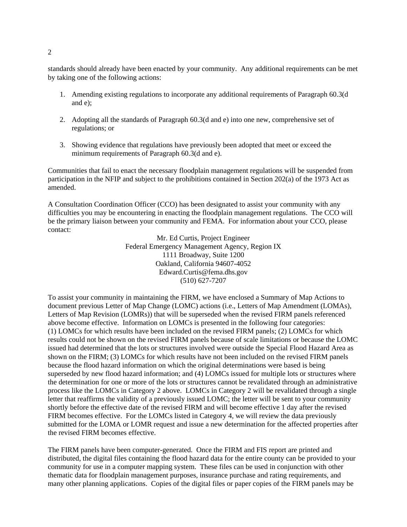standards should already have been enacted by your community. Any additional requirements can be met by taking one of the following actions:

- 1. Amending existing regulations to incorporate any additional requirements of Paragraph 60.3(d and e);
- 2. Adopting all the standards of Paragraph 60.3(d and e) into one new, comprehensive set of regulations; or
- 3. Showing evidence that regulations have previously been adopted that meet or exceed the minimum requirements of Paragraph 60.3(d and e).

Communities that fail to enact the necessary floodplain management regulations will be suspended from participation in the NFIP and subject to the prohibitions contained in Section 202(a) of the 1973 Act as amended.

A Consultation Coordination Officer (CCO) has been designated to assist your community with any difficulties you may be encountering in enacting the floodplain management regulations. The CCO will be the primary liaison between your community and FEMA. For information about your CCO, please contact:

> Mr. Ed Curtis, Project Engineer Federal Emergency Management Agency, Region IX 1111 Broadway, Suite 1200 Oakland, California 94607-4052 Edward.Curtis@fema.dhs.gov (510) 627-7207

To assist your community in maintaining the FIRM, we have enclosed a Summary of Map Actions to document previous Letter of Map Change (LOMC) actions (i.e., Letters of Map Amendment (LOMAs), Letters of Map Revision (LOMRs)) that will be superseded when the revised FIRM panels referenced above become effective. Information on LOMCs is presented in the following four categories: (1) LOMCs for which results have been included on the revised FIRM panels; (2) LOMCs for which results could not be shown on the revised FIRM panels because of scale limitations or because the LOMC issued had determined that the lots or structures involved were outside the Special Flood Hazard Area as shown on the FIRM; (3) LOMCs for which results have not been included on the revised FIRM panels because the flood hazard information on which the original determinations were based is being superseded by new flood hazard information; and (4) LOMCs issued for multiple lots or structures where the determination for one or more of the lots or structures cannot be revalidated through an administrative process like the LOMCs in Category 2 above. LOMCs in Category 2 will be revalidated through a single letter that reaffirms the validity of a previously issued LOMC; the letter will be sent to your community shortly before the effective date of the revised FIRM and will become effective 1 day after the revised FIRM becomes effective. For the LOMCs listed in Category 4, we will review the data previously submitted for the LOMA or LOMR request and issue a new determination for the affected properties after the revised FIRM becomes effective.

The FIRM panels have been computer-generated. Once the FIRM and FIS report are printed and distributed, the digital files containing the flood hazard data for the entire county can be provided to your community for use in a computer mapping system. These files can be used in conjunction with other thematic data for floodplain management purposes, insurance purchase and rating requirements, and many other planning applications. Copies of the digital files or paper copies of the FIRM panels may be